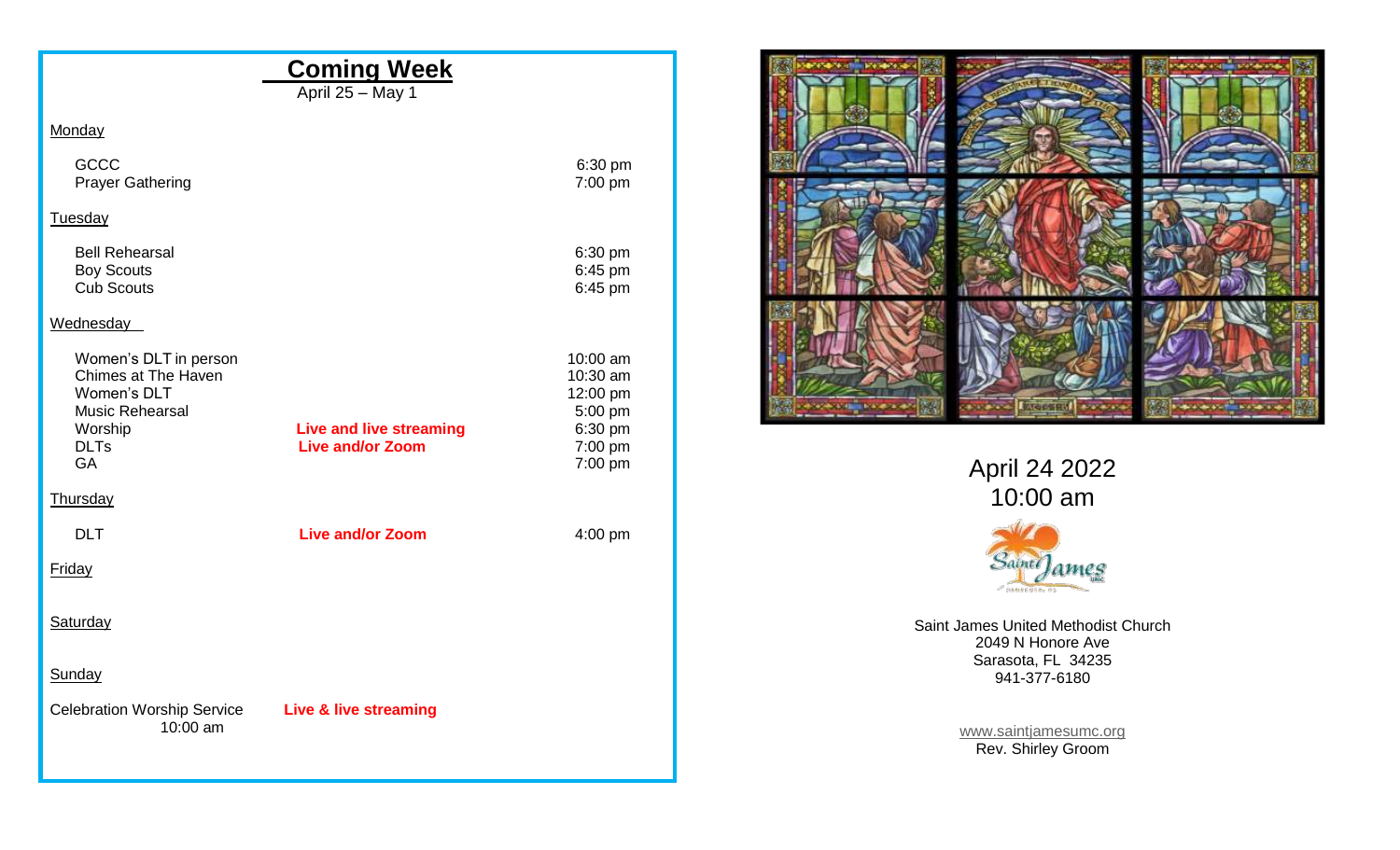|                                                                                                  | <b>Coming Week</b><br>April 25 - May 1 |                                                        |                                                          |
|--------------------------------------------------------------------------------------------------|----------------------------------------|--------------------------------------------------------|----------------------------------------------------------|
| Monday                                                                                           |                                        |                                                        |                                                          |
| <b>GCCC</b><br><b>Prayer Gathering</b>                                                           |                                        | 6:30 pm<br>7:00 pm                                     |                                                          |
| Tuesday                                                                                          |                                        |                                                        |                                                          |
| <b>Bell Rehearsal</b><br><b>Boy Scouts</b><br><b>Cub Scouts</b>                                  |                                        | 6:30 pm<br>6:45 pm<br>6:45 pm                          |                                                          |
| Wednesday                                                                                        |                                        |                                                        |                                                          |
| Women's DLT in person<br>Chimes at The Haven<br>Women's DLT<br><b>Music Rehearsal</b><br>Worship | <b>Live and live streaming</b>         | 10:00 am<br>10:30 am<br>12:00 pm<br>5:00 pm<br>6:30 pm | <b>INCHES</b>                                            |
| <b>DLTs</b><br>GA                                                                                | <b>Live and/or Zoom</b>                | 7:00 pm<br>7:00 pm                                     | April 24 2022                                            |
| Thursday                                                                                         |                                        |                                                        | 10:00 am                                                 |
| <b>DLT</b>                                                                                       | <b>Live and/or Zoom</b>                | 4:00 pm                                                |                                                          |
| Friday                                                                                           |                                        |                                                        | Saint James                                              |
| Saturday                                                                                         |                                        |                                                        | Saint James United Methodist Church<br>2049 N Honore Ave |
| Sunday                                                                                           |                                        |                                                        | Sarasota, FL 34235<br>941-377-6180                       |
| <b>Celebration Worship Service</b>                                                               | <b>Live &amp; live streaming</b>       |                                                        |                                                          |
| 10:00 am                                                                                         |                                        |                                                        | www.saintjamesumc.org<br>Rev. Shirley Groom              |